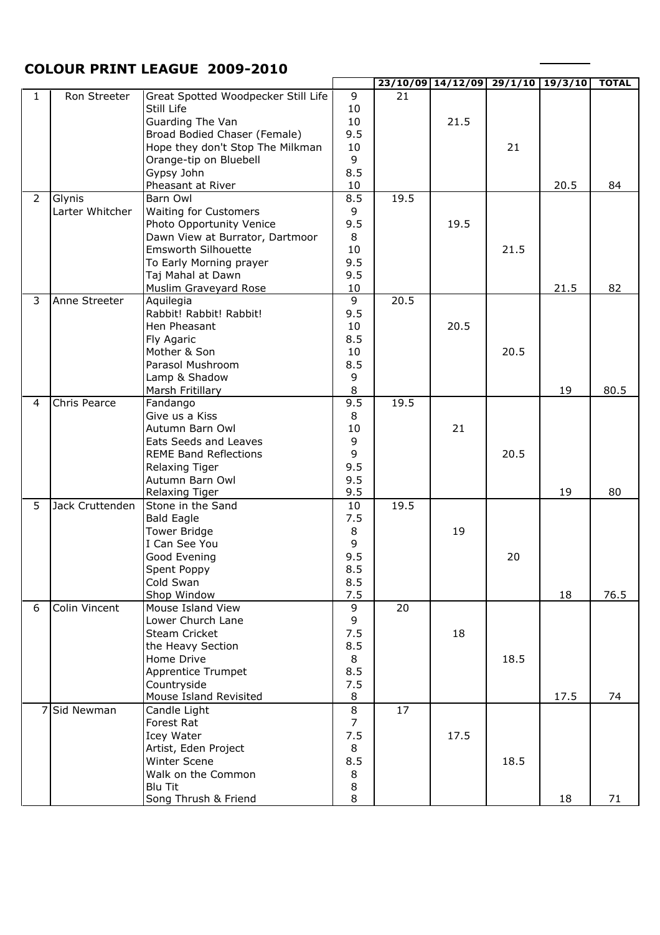## **COLOUR PRINT LEAGUE 2009-2010**

|                |                 |                                     |                |      | 23/10/09 14/12/09 29/1/10 19/3/10 |      |      | <b>TOTAL</b> |
|----------------|-----------------|-------------------------------------|----------------|------|-----------------------------------|------|------|--------------|
| 1              | Ron Streeter    | Great Spotted Woodpecker Still Life | 9              | 21   |                                   |      |      |              |
|                |                 | Still Life                          | 10             |      |                                   |      |      |              |
|                |                 | Guarding The Van                    | 10             |      | 21.5                              |      |      |              |
|                |                 | Broad Bodied Chaser (Female)        | 9.5            |      |                                   |      |      |              |
|                |                 | Hope they don't Stop The Milkman    | 10             |      |                                   | 21   |      |              |
|                |                 | Orange-tip on Bluebell              | 9              |      |                                   |      |      |              |
|                |                 | Gypsy John                          | 8.5            |      |                                   |      |      |              |
|                |                 | Pheasant at River                   | 10             |      |                                   |      | 20.5 | 84           |
|                |                 |                                     |                | 19.5 |                                   |      |      |              |
| $\overline{2}$ | Glynis          | Barn Owl                            | 8.5            |      |                                   |      |      |              |
|                | Larter Whitcher | <b>Waiting for Customers</b>        | 9              |      |                                   |      |      |              |
|                |                 | Photo Opportunity Venice            | 9.5            |      | 19.5                              |      |      |              |
|                |                 | Dawn View at Burrator, Dartmoor     | 8              |      |                                   |      |      |              |
|                |                 | <b>Emsworth Silhouette</b>          | 10             |      |                                   | 21.5 |      |              |
|                |                 | To Early Morning prayer             | 9.5            |      |                                   |      |      |              |
|                |                 | Taj Mahal at Dawn                   | 9.5            |      |                                   |      |      |              |
|                |                 | Muslim Graveyard Rose               | 10             |      |                                   |      | 21.5 | 82           |
| 3              | Anne Streeter   | Aquilegia                           | 9              | 20.5 |                                   |      |      |              |
|                |                 | Rabbit! Rabbit! Rabbit!             | 9.5            |      |                                   |      |      |              |
|                |                 | Hen Pheasant                        | 10             |      | 20.5                              |      |      |              |
|                |                 | Fly Agaric                          | 8.5            |      |                                   |      |      |              |
|                |                 | Mother & Son                        | 10             |      |                                   | 20.5 |      |              |
|                |                 | Parasol Mushroom                    | 8.5            |      |                                   |      |      |              |
|                |                 | Lamp & Shadow                       | 9              |      |                                   |      |      |              |
|                |                 | Marsh Fritillary                    | 8              |      |                                   |      | 19   | 80.5         |
| 4              | Chris Pearce    | Fandango                            | 9.5            | 19.5 |                                   |      |      |              |
|                |                 | Give us a Kiss                      | 8              |      |                                   |      |      |              |
|                |                 | Autumn Barn Owl                     | 10             |      | 21                                |      |      |              |
|                |                 | Eats Seeds and Leaves               | 9              |      |                                   |      |      |              |
|                |                 | <b>REME Band Reflections</b>        | 9              |      |                                   | 20.5 |      |              |
|                |                 | <b>Relaxing Tiger</b>               | 9.5            |      |                                   |      |      |              |
|                |                 | Autumn Barn Owl                     | 9.5            |      |                                   |      |      |              |
|                |                 | <b>Relaxing Tiger</b>               | 9.5            |      |                                   |      | 19   | 80           |
| 5              | Jack Cruttenden | Stone in the Sand                   | 10             | 19.5 |                                   |      |      |              |
|                |                 | <b>Bald Eagle</b>                   | 7.5            |      |                                   |      |      |              |
|                |                 |                                     |                |      |                                   |      |      |              |
|                |                 | <b>Tower Bridge</b>                 | 8              |      | 19                                |      |      |              |
|                |                 | I Can See You                       | 9              |      |                                   |      |      |              |
|                |                 | Good Evening                        | 9.5            |      |                                   | 20   |      |              |
|                |                 | Spent Poppy                         | 8.5            |      |                                   |      |      |              |
|                |                 | Cold Swan                           | 8.5            |      |                                   |      |      |              |
|                |                 | Shop Window                         | 7.5            |      |                                   |      | 18   | 76.5         |
| 6              | Colin Vincent   | Mouse Island View                   | 9              | 20   |                                   |      |      |              |
|                |                 | Lower Church Lane                   | 9              |      |                                   |      |      |              |
|                |                 | <b>Steam Cricket</b>                | 7.5            |      | 18                                |      |      |              |
|                |                 | the Heavy Section                   | 8.5            |      |                                   |      |      |              |
|                |                 | Home Drive                          | 8              |      |                                   | 18.5 |      |              |
|                |                 | Apprentice Trumpet                  | 8.5            |      |                                   |      |      |              |
|                |                 | Countryside                         | 7.5            |      |                                   |      |      |              |
|                |                 | Mouse Island Revisited              | 8              |      |                                   |      | 17.5 | 74           |
| 7              | Sid Newman      | Candle Light                        | 8              | 17   |                                   |      |      |              |
|                |                 | <b>Forest Rat</b>                   | $\overline{7}$ |      |                                   |      |      |              |
|                |                 | Icey Water                          | 7.5            |      | 17.5                              |      |      |              |
|                |                 | Artist, Eden Project                | 8              |      |                                   |      |      |              |
|                |                 | Winter Scene                        | 8.5            |      |                                   | 18.5 |      |              |
|                |                 | Walk on the Common                  | 8              |      |                                   |      |      |              |
|                |                 | <b>Blu Tit</b>                      | 8              |      |                                   |      |      |              |
|                |                 | Song Thrush & Friend                | 8              |      |                                   |      | 18   | 71           |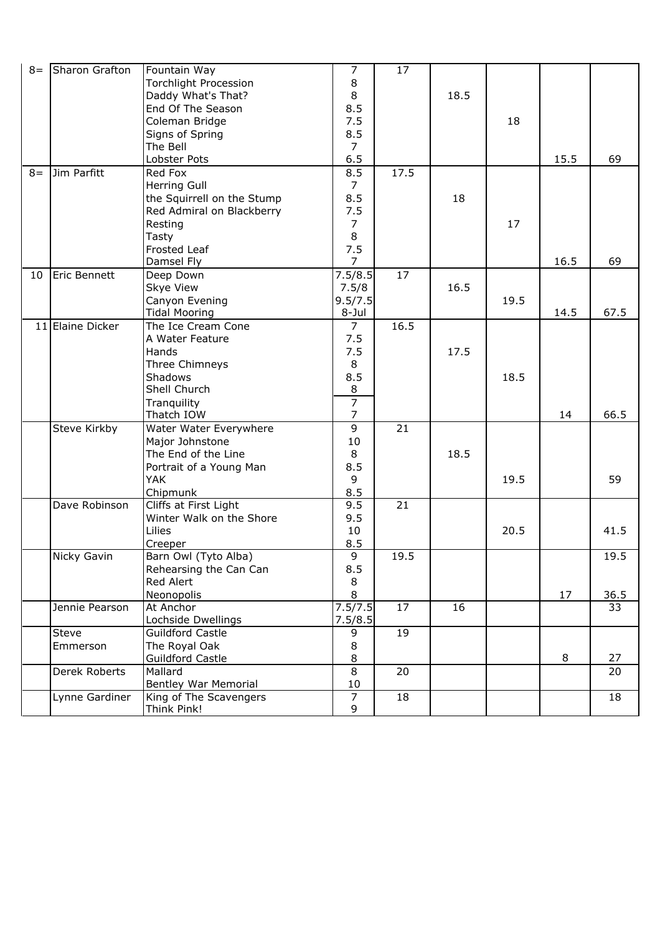| $8 =$ | Sharon Grafton   | Fountain Way                 | 7              | 17              |      |      |         |      |
|-------|------------------|------------------------------|----------------|-----------------|------|------|---------|------|
|       |                  | <b>Torchlight Procession</b> | 8              |                 |      |      |         |      |
|       |                  | Daddy What's That?           | 8              |                 | 18.5 |      |         |      |
|       |                  | End Of The Season            | 8.5            |                 |      |      |         |      |
|       |                  | Coleman Bridge               | 7.5            |                 |      | 18   |         |      |
|       |                  | Signs of Spring              | 8.5            |                 |      |      |         |      |
|       |                  | The Bell                     | $\overline{7}$ |                 |      |      |         |      |
|       |                  | Lobster Pots                 | 6.5            |                 |      |      | 15.5    | 69   |
| $8 =$ | Jim Parfitt      | Red Fox                      | 8.5            | 17.5            |      |      |         |      |
|       |                  | Herring Gull                 | 7              |                 |      |      |         |      |
|       |                  | the Squirrell on the Stump   | 8.5            |                 | 18   |      |         |      |
|       |                  | Red Admiral on Blackberry    | 7.5            |                 |      |      |         |      |
|       |                  | Resting                      | 7              |                 |      | 17   |         |      |
|       |                  | Tasty                        | 8              |                 |      |      |         |      |
|       |                  | Frosted Leaf                 | 7.5            |                 |      |      |         |      |
|       |                  | Damsel Fly                   | $\overline{7}$ |                 |      |      | 16.5    | 69   |
| 10    | Eric Bennett     | Deep Down                    | 7.5/8.5        | 17              |      |      |         |      |
|       |                  | Skye View                    | 7.5/8          |                 | 16.5 |      |         |      |
|       |                  |                              |                |                 |      |      |         |      |
|       |                  | Canyon Evening               | 9.5/7.5        |                 |      | 19.5 |         |      |
|       |                  | <b>Tidal Mooring</b>         | 8-Jul          |                 |      |      | 14.5    | 67.5 |
|       | 11 Elaine Dicker | The Ice Cream Cone           | $\overline{7}$ | 16.5            |      |      |         |      |
|       |                  | A Water Feature              | 7.5            |                 |      |      |         |      |
|       |                  | Hands                        | 7.5            |                 | 17.5 |      |         |      |
|       |                  | Three Chimneys               | 8              |                 |      |      |         |      |
|       |                  | Shadows                      | 8.5            |                 |      | 18.5 |         |      |
|       |                  | Shell Church                 | 8              |                 |      |      |         |      |
|       |                  | Tranquility                  | $\overline{7}$ |                 |      |      |         |      |
|       |                  | Thatch IOW                   | $\overline{7}$ |                 |      |      | 14      | 66.5 |
|       | Steve Kirkby     | Water Water Everywhere       | $\overline{9}$ | 21              |      |      |         |      |
|       |                  | Major Johnstone              | 10             |                 |      |      |         |      |
|       |                  | The End of the Line          | 8              |                 | 18.5 |      |         |      |
|       |                  | Portrait of a Young Man      | 8.5            |                 |      |      |         |      |
|       |                  | YAK                          | 9              |                 |      | 19.5 |         | 59   |
|       |                  | Chipmunk                     | 8.5            |                 |      |      |         |      |
|       | Dave Robinson    | Cliffs at First Light        | 9.5            | $\overline{21}$ |      |      |         |      |
|       |                  | Winter Walk on the Shore     | 9.5            |                 |      |      |         |      |
|       |                  | Lilies                       | 10             |                 |      | 20.5 |         | 41.5 |
|       |                  | Creeper                      | 8.5            |                 |      |      |         |      |
|       | Nicky Gavin      | Barn Owl (Tyto Alba)         | $\overline{9}$ | 19.5            |      |      |         | 19.5 |
|       |                  | Rehearsing the Can Can       | 8.5            |                 |      |      |         |      |
|       |                  | Red Alert                    | 8              |                 |      |      |         |      |
|       |                  |                              | 8              |                 |      |      |         |      |
|       |                  | Neonopolis<br>At Anchor      |                |                 |      |      | 17      | 36.5 |
|       | Jennie Pearson   |                              | 7.5/7.5        | 17              | 16   |      |         | 33   |
|       |                  | Lochside Dwellings           | 7.5/8.5        |                 |      |      |         |      |
|       | Steve            | <b>Guildford Castle</b>      | 9              | 19              |      |      |         |      |
|       | Emmerson         | The Royal Oak                | 8              |                 |      |      |         |      |
|       |                  | <b>Guildford Castle</b>      | 8              |                 |      |      | $\,8\,$ | 27   |
|       | Derek Roberts    | Mallard                      | 8              | 20              |      |      |         | 20   |
|       |                  | Bentley War Memorial         | $10\,$         |                 |      |      |         |      |
|       | Lynne Gardiner   | King of The Scavengers       | $\overline{7}$ | 18              |      |      |         | 18   |
|       |                  | Think Pink!                  | 9              |                 |      |      |         |      |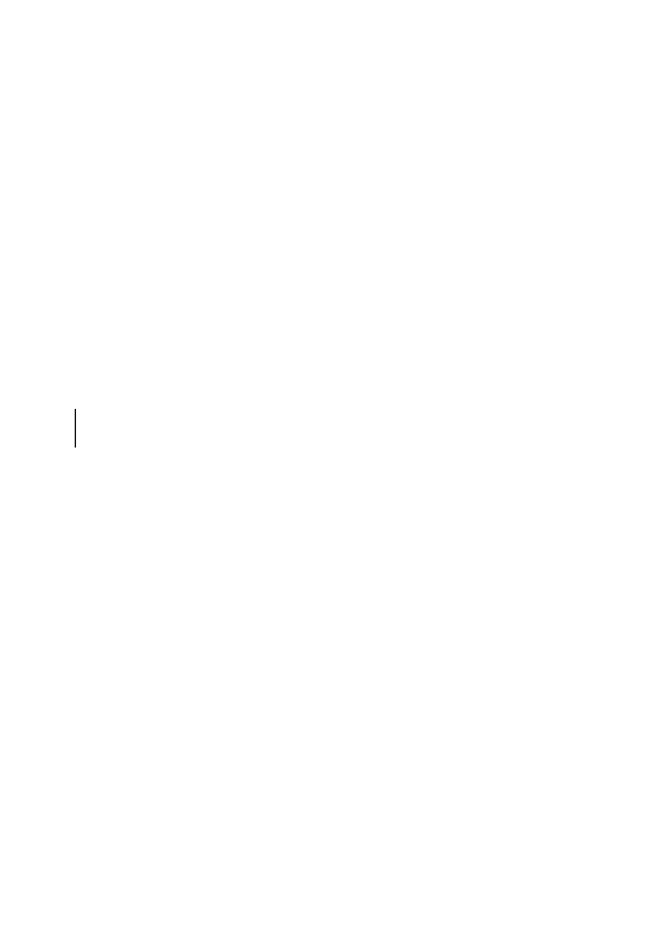$\mathsf{l}$